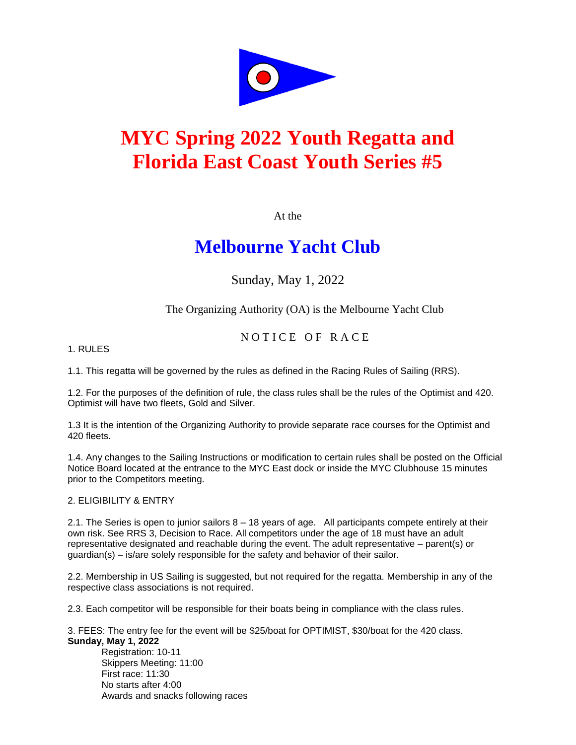

# **MYC Spring 2022 Youth Regatta and Florida East Coast Youth Series #5**

At the

## **Melbourne Yacht Club**

Sunday, May 1, 2022

The Organizing Authority (OA) is the Melbourne Yacht Club

### NOTICE OF RACE

#### 1. RULES

1.1. This regatta will be governed by the rules as defined in the Racing Rules of Sailing (RRS).

1.2. For the purposes of the definition of rule, the class rules shall be the rules of the Optimist and 420. Optimist will have two fleets, Gold and Silver.

1.3 It is the intention of the Organizing Authority to provide separate race courses for the Optimist and 420 fleets.

1.4. Any changes to the Sailing Instructions or modification to certain rules shall be posted on the Official Notice Board located at the entrance to the MYC East dock or inside the MYC Clubhouse 15 minutes prior to the Competitors meeting.

#### 2. ELIGIBILITY & ENTRY

2.1. The Series is open to junior sailors 8 – 18 years of age. All participants compete entirely at their own risk. See RRS 3, Decision to Race. All competitors under the age of 18 must have an adult representative designated and reachable during the event. The adult representative – parent(s) or  $quardian(s) - is/are solely responsible for the safety and behavior of their sailor.$ 

2.2. Membership in US Sailing is suggested, but not required for the regatta. Membership in any of the respective class associations is not required.

2.3. Each competitor will be responsible for their boats being in compliance with the class rules.

3. FEES: The entry fee for the event will be \$25/boat for OPTIMIST, \$30/boat for the 420 class. **Sunday, May 1, 2022**

Registration: 10-11 Skippers Meeting: 11:00 First race: 11:30 No starts after 4:00 Awards and snacks following races